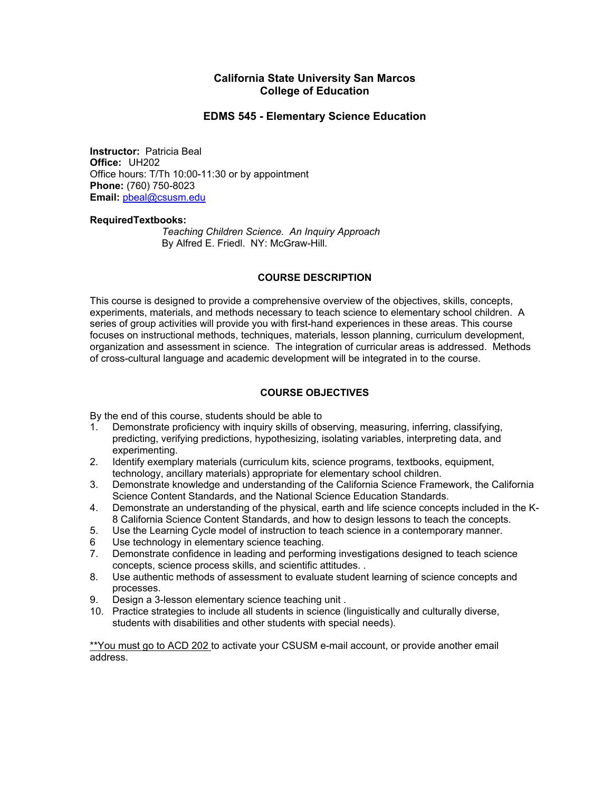## **California State University San Marcos College of Education**

## **EDMS 545 - Elementary Science Education**

**Instructor:** Patricia Beal **Office:** UH202 Office hours: T/Th 10:00-11:30 or by appointment **Phone:** (760) 750-8023 **Email:** pbeal@csusm.edu

#### **RequiredTextbooks:**

*Teaching Children Science. An Inquiry Approach* By Alfred E. Friedl. NY: McGraw-Hill.

#### **COURSE DESCRIPTION**

This course is designed to provide a comprehensive overview of the objectives, skills, concepts, experiments, materials, and methods necessary to teach science to elementary school children. A series of group activities will provide you with first-hand experiences in these areas. This course focuses on instructional methods, techniques, materials, lesson planning, curriculum development, organization and assessment in science. The integration of curricular areas is addressed. Methods of cross-cultural language and academic development will be integrated in to the course.

## **COURSE OBJECTIVES**

By the end of this course, students should be able to

- 1. Demonstrate proficiency with inquiry skills of observing, measuring, inferring, classifying, predicting, verifying predictions, hypothesizing, isolating variables, interpreting data, and experimenting.
- 2. Identify exemplary materials (curriculum kits, science programs, textbooks, equipment, technology, ancillary materials) appropriate for elementary school children.
- 3. Demonstrate knowledge and understanding of the California Science Framework, the California Science Content Standards, and the National Science Education Standards.
- 4. Demonstrate an understanding of the physical, earth and life science concepts included in the K-8 California Science Content Standards, and how to design lessons to teach the concepts.
- 5. Use the Learning Cycle model of instruction to teach science in a contemporary manner.
- 6 Use technology in elementary science teaching.
- 7. Demonstrate confidence in leading and performing investigations designed to teach science concepts, science process skills, and scientific attitudes. .
- 8. Use authentic methods of assessment to evaluate student learning of science concepts and processes.
- 9. Design a 3-lesson elementary science teaching unit .
- 10. Practice strategies to include all students in science (linguistically and culturally diverse, students with disabilities and other students with special needs).

\*\*You must go to ACD 202 to activate your CSUSM e-mail account, or provide another email address.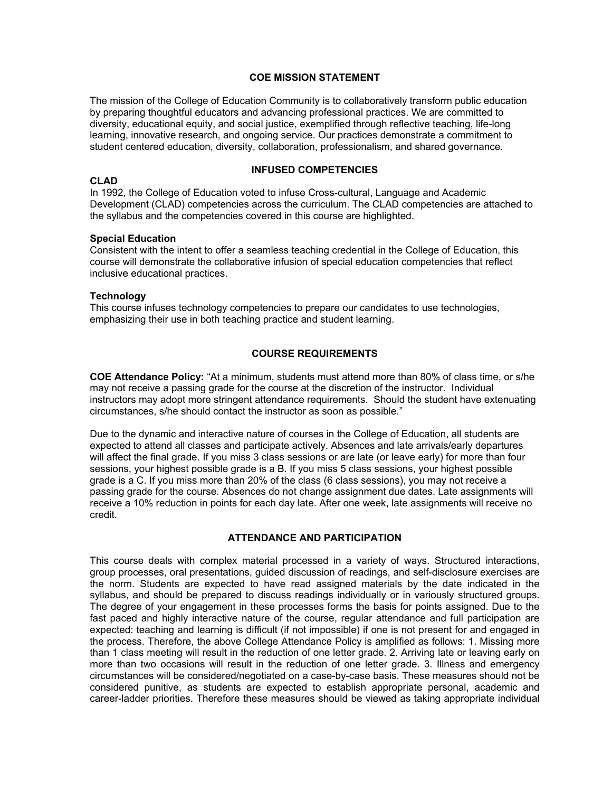#### **COE MISSION STATEMENT**

The mission of the College of Education Community is to collaboratively transform public education by preparing thoughtful educators and advancing professional practices. We are committed to diversity, educational equity, and social justice, exemplified through reflective teaching, life-long learning, innovative research, and ongoing service. Our practices demonstrate a commitment to student centered education, diversity, collaboration, professionalism, and shared governance.

#### **CLAD**

#### **INFUSED COMPETENCIES**

In 1992, the College of Education voted to infuse Cross-cultural, Language and Academic Development (CLAD) competencies across the curriculum. The CLAD competencies are attached to the syllabus and the competencies covered in this course are highlighted.

#### **Special Education**

Consistent with the intent to offer a seamless teaching credential in the College of Education, this course will demonstrate the collaborative infusion of special education competencies that reflect inclusive educational practices.

#### **Technology**

This course infuses technology competencies to prepare our candidates to use technologies, emphasizing their use in both teaching practice and student learning.

## **COURSE REQUIREMENTS**

**COE Attendance Policy:** "At a minimum, students must attend more than 80% of class time, or s/he may not receive a passing grade for the course at the discretion of the instructor. Individual instructors may adopt more stringent attendance requirements. Should the student have extenuating circumstances, s/he should contact the instructor as soon as possible."

Due to the dynamic and interactive nature of courses in the College of Education, all students are expected to attend all classes and participate actively. Absences and late arrivals/early departures will affect the final grade. If you miss 3 class sessions or are late (or leave early) for more than four sessions, your highest possible grade is a B. If you miss 5 class sessions, your highest possible grade is a C. If you miss more than 20% of the class (6 class sessions), you may not receive a passing grade for the course. Absences do not change assignment due dates. Late assignments will receive a 10% reduction in points for each day late. After one week, late assignments will receive no credit.

#### **ATTENDANCE AND PARTICIPATION**

This course deals with complex material processed in a variety of ways. Structured interactions, group processes, oral presentations, guided discussion of readings, and self-disclosure exercises are the norm. Students are expected to have read assigned materials by the date indicated in the syllabus, and should be prepared to discuss readings individually or in variously structured groups. The degree of your engagement in these processes forms the basis for points assigned. Due to the fast paced and highly interactive nature of the course, regular attendance and full participation are expected: teaching and learning is difficult (if not impossible) if one is not present for and engaged in the process. Therefore, the above College Attendance Policy is amplified as follows: 1. Missing more than 1 class meeting will result in the reduction of one letter grade. 2. Arriving late or leaving early on more than two occasions will result in the reduction of one letter grade. 3. Illness and emergency circumstances will be considered/negotiated on a case-by-case basis. These measures should not be considered punitive, as students are expected to establish appropriate personal, academic and career-ladder priorities. Therefore these measures should be viewed as taking appropriate individual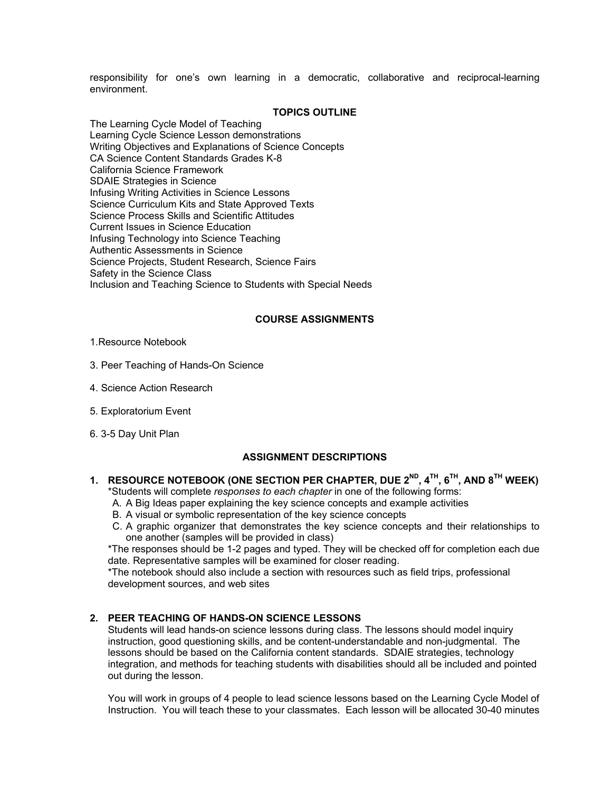responsibility for one's own learning in a democratic, collaborative and reciprocal-learning environment.

#### **TOPICS OUTLINE**

The Learning Cycle Model of Teaching Learning Cycle Science Lesson demonstrations Writing Objectives and Explanations of Science Concepts CA Science Content Standards Grades K-8 California Science Framework SDAIE Strategies in Science Infusing Writing Activities in Science Lessons Science Curriculum Kits and State Approved Texts Science Process Skills and Scientific Attitudes Current Issues in Science Education Infusing Technology into Science Teaching Authentic Assessments in Science Science Projects, Student Research, Science Fairs Safety in the Science Class Inclusion and Teaching Science to Students with Special Needs

## **COURSE ASSIGNMENTS**

#### 1.Resource Notebook

- 3. Peer Teaching of Hands-On Science
- 4. Science Action Research
- 5. Exploratorium Event
- 6. 3-5 Day Unit Plan

#### **ASSIGNMENT DESCRIPTIONS**

## **1. RESOURCE NOTEBOOK (ONE SECTION PER CHAPTER, DUE 2ND, 4TH, 6TH, AND 8TH WEEK)**

\*Students will complete *responses to each chapter* in one of the following forms:

- A. A Big Ideas paper explaining the key science concepts and example activities
- B. A visual or symbolic representation of the key science concepts
- C. A graphic organizer that demonstrates the key science concepts and their relationships to one another (samples will be provided in class)

\*The responses should be 1-2 pages and typed. They will be checked off for completion each due date. Representative samples will be examined for closer reading.

\*The notebook should also include a section with resources such as field trips, professional development sources, and web sites

## **2. PEER TEACHING OF HANDS-ON SCIENCE LESSONS**

Students will lead hands-on science lessons during class. The lessons should model inquiry instruction, good questioning skills, and be content-understandable and non-judgmental. The lessons should be based on the California content standards. SDAIE strategies, technology integration, and methods for teaching students with disabilities should all be included and pointed out during the lesson.

You will work in groups of 4 people to lead science lessons based on the Learning Cycle Model of Instruction. You will teach these to your classmates. Each lesson will be allocated 30-40 minutes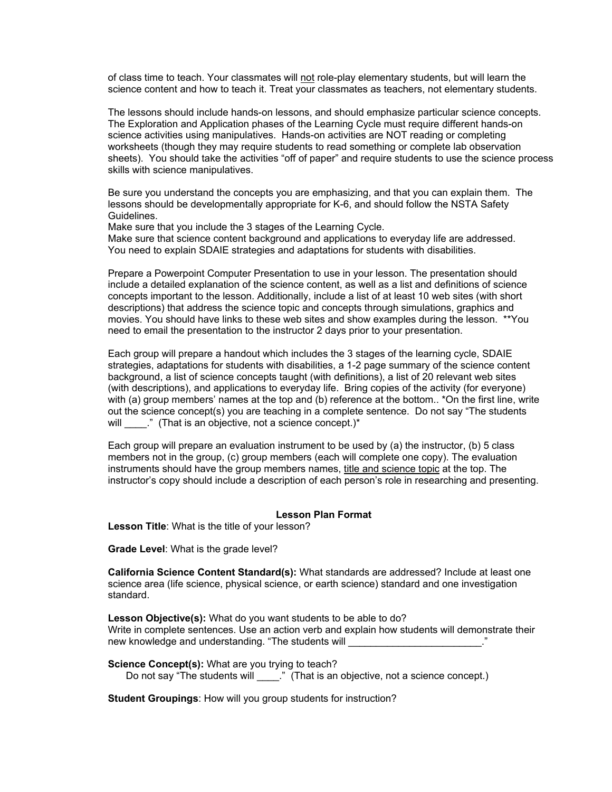of class time to teach. Your classmates will not role-play elementary students, but will learn the science content and how to teach it. Treat your classmates as teachers, not elementary students.

The lessons should include hands-on lessons, and should emphasize particular science concepts. The Exploration and Application phases of the Learning Cycle must require different hands-on science activities using manipulatives. Hands-on activities are NOT reading or completing worksheets (though they may require students to read something or complete lab observation sheets). You should take the activities "off of paper" and require students to use the science process skills with science manipulatives.

Be sure you understand the concepts you are emphasizing, and that you can explain them. The lessons should be developmentally appropriate for K-6, and should follow the NSTA Safety Guidelines.

Make sure that you include the 3 stages of the Learning Cycle.

Make sure that science content background and applications to everyday life are addressed. You need to explain SDAIE strategies and adaptations for students with disabilities.

Prepare a Powerpoint Computer Presentation to use in your lesson. The presentation should include a detailed explanation of the science content, as well as a list and definitions of science concepts important to the lesson. Additionally, include a list of at least 10 web sites (with short descriptions) that address the science topic and concepts through simulations, graphics and movies. You should have links to these web sites and show examples during the lesson. \*\*You need to email the presentation to the instructor 2 days prior to your presentation.

Each group will prepare a handout which includes the 3 stages of the learning cycle, SDAIE strategies, adaptations for students with disabilities, a 1-2 page summary of the science content background, a list of science concepts taught (with definitions), a list of 20 relevant web sites (with descriptions), and applications to everyday life. Bring copies of the activity (for everyone) with (a) group members' names at the top and (b) reference at the bottom.. \*On the first line, write out the science concept(s) you are teaching in a complete sentence. Do not say "The students will  $\blacksquare$ ." (That is an objective, not a science concept.)\*

Each group will prepare an evaluation instrument to be used by (a) the instructor, (b) 5 class members not in the group, (c) group members (each will complete one copy). The evaluation instruments should have the group members names, title and science topic at the top. The instructor's copy should include a description of each person's role in researching and presenting.

#### **Lesson Plan Format**

**Lesson Title**: What is the title of your lesson?

**Grade Level**: What is the grade level?

**California Science Content Standard(s):** What standards are addressed? Include at least one science area (life science, physical science, or earth science) standard and one investigation standard.

**Lesson Objective(s):** What do you want students to be able to do? Write in complete sentences. Use an action verb and explain how students will demonstrate their new knowledge and understanding. "The students will \_\_\_\_\_\_\_\_\_\_\_\_\_\_\_\_\_\_\_\_\_\_\_\_\_\_."

**Science Concept(s):** What are you trying to teach? Do not say "The students will \_\_\_\_\_." (That is an objective, not a science concept.)

**Student Groupings**: How will you group students for instruction?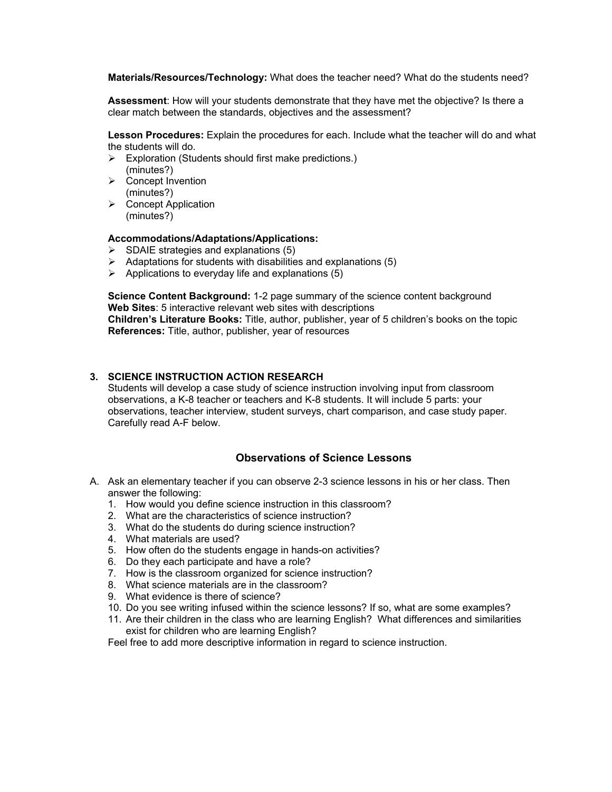**Materials/Resources/Technology:** What does the teacher need? What do the students need?

**Assessment**: How will your students demonstrate that they have met the objective? Is there a clear match between the standards, objectives and the assessment?

**Lesson Procedures:** Explain the procedures for each. Include what the teacher will do and what the students will do.

- $\triangleright$  Exploration (Students should first make predictions.) (minutes?)
- $\triangleright$  Concept Invention (minutes?)
- $\triangleright$  Concept Application (minutes?)

#### **Accommodations/Adaptations/Applications:**

- $\triangleright$  SDAIE strategies and explanations (5)
- $\triangleright$  Adaptations for students with disabilities and explanations (5)
- $\triangleright$  Applications to everyday life and explanations (5)

**Science Content Background:** 1-2 page summary of the science content background **Web Sites**: 5 interactive relevant web sites with descriptions **Children's Literature Books:** Title, author, publisher, year of 5 children's books on the topic **References:** Title, author, publisher, year of resources

#### **3. SCIENCE INSTRUCTION ACTION RESEARCH**

Students will develop a case study of science instruction involving input from classroom observations, a K-8 teacher or teachers and K-8 students. It will include 5 parts: your observations, teacher interview, student surveys, chart comparison, and case study paper. Carefully read A-F below.

## **Observations of Science Lessons**

- A. Ask an elementary teacher if you can observe 2-3 science lessons in his or her class. Then answer the following:
	- 1. How would you define science instruction in this classroom?
	- 2. What are the characteristics of science instruction?
	- 3. What do the students do during science instruction?
	- 4. What materials are used?
	- 5. How often do the students engage in hands-on activities?
	- 6. Do they each participate and have a role?
	- 7. How is the classroom organized for science instruction?
	- 8. What science materials are in the classroom?
	- 9. What evidence is there of science?
	- 10. Do you see writing infused within the science lessons? If so, what are some examples?
	- 11. Are their children in the class who are learning English? What differences and similarities exist for children who are learning English?

Feel free to add more descriptive information in regard to science instruction.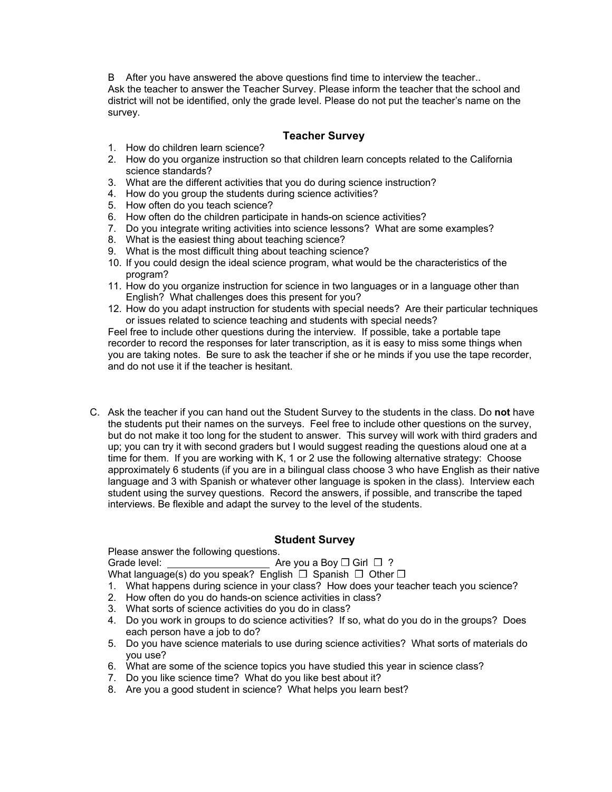B After you have answered the above questions find time to interview the teacher.. Ask the teacher to answer the Teacher Survey. Please inform the teacher that the school and district will not be identified, only the grade level. Please do not put the teacher's name on the survey.

## **Teacher Survey**

- 1. How do children learn science?
- 2. How do you organize instruction so that children learn concepts related to the California science standards?
- 3. What are the different activities that you do during science instruction?
- 4. How do you group the students during science activities?
- 5. How often do you teach science?
- 6. How often do the children participate in hands-on science activities?
- 7. Do you integrate writing activities into science lessons? What are some examples?
- 8. What is the easiest thing about teaching science?
- 9. What is the most difficult thing about teaching science?
- 10. If you could design the ideal science program, what would be the characteristics of the program?
- 11. How do you organize instruction for science in two languages or in a language other than English? What challenges does this present for you?
- 12. How do you adapt instruction for students with special needs? Are their particular techniques or issues related to science teaching and students with special needs?

Feel free to include other questions during the interview. If possible, take a portable tape recorder to record the responses for later transcription, as it is easy to miss some things when you are taking notes. Be sure to ask the teacher if she or he minds if you use the tape recorder, and do not use it if the teacher is hesitant.

C. Ask the teacher if you can hand out the Student Survey to the students in the class. Do **not** have the students put their names on the surveys. Feel free to include other questions on the survey, but do not make it too long for the student to answer. This survey will work with third graders and up; you can try it with second graders but I would suggest reading the questions aloud one at a time for them. If you are working with K, 1 or 2 use the following alternative strategy: Choose approximately 6 students (if you are in a bilingual class choose 3 who have English as their native language and 3 with Spanish or whatever other language is spoken in the class). Interview each student using the survey questions. Record the answers, if possible, and transcribe the taped interviews. Be flexible and adapt the survey to the level of the students.

## **Student Survey**

Please answer the following questions.

Grade level: Are you a Boy ❒ Girl ❒ ?

What language(s) do you speak? English  $\Box$  Spanish  $\Box$  Other  $\Box$ 

- 1. What happens during science in your class? How does your teacher teach you science?
- 2. How often do you do hands-on science activities in class?
- 3. What sorts of science activities do you do in class?
- 4. Do you work in groups to do science activities? If so, what do you do in the groups? Does each person have a job to do?
- 5. Do you have science materials to use during science activities? What sorts of materials do you use?
- 6. What are some of the science topics you have studied this year in science class?
- 7. Do you like science time? What do you like best about it?
- 8. Are you a good student in science? What helps you learn best?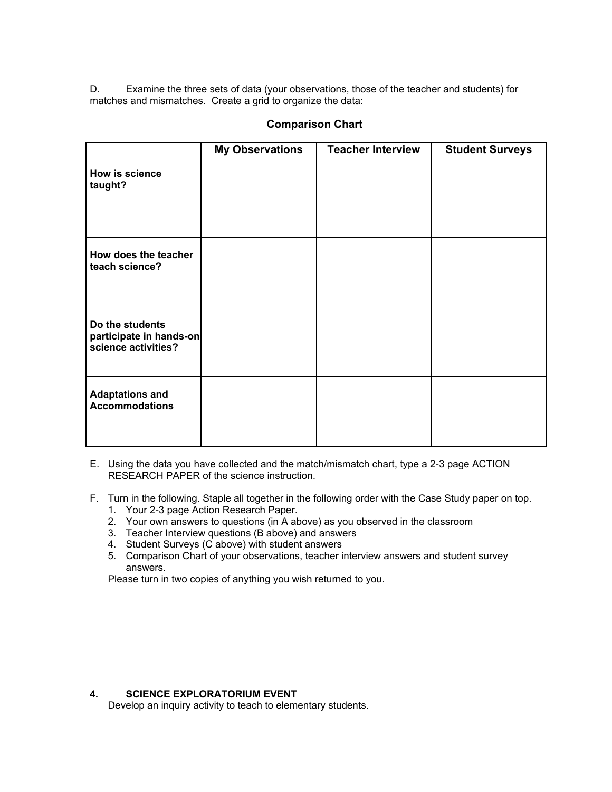D. Examine the three sets of data (your observations, those of the teacher and students) for matches and mismatches. Create a grid to organize the data:

|                                                                   | <b>My Observations</b> | <b>Teacher Interview</b> | <b>Student Surveys</b> |
|-------------------------------------------------------------------|------------------------|--------------------------|------------------------|
| How is science<br>taught?                                         |                        |                          |                        |
| How does the teacher<br>teach science?                            |                        |                          |                        |
| Do the students<br>participate in hands-on<br>science activities? |                        |                          |                        |
| <b>Adaptations and</b><br><b>Accommodations</b>                   |                        |                          |                        |

## **Comparison Chart**

- E. Using the data you have collected and the match/mismatch chart, type a 2-3 page ACTION RESEARCH PAPER of the science instruction.
- F. Turn in the following. Staple all together in the following order with the Case Study paper on top.
	- 1. Your 2-3 page Action Research Paper.
	- 2. Your own answers to questions (in A above) as you observed in the classroom
	- 3. Teacher Interview questions (B above) and answers
	- 4. Student Surveys (C above) with student answers
	- 5. Comparison Chart of your observations, teacher interview answers and student survey answers.

Please turn in two copies of anything you wish returned to you.

## **4. SCIENCE EXPLORATORIUM EVENT**

Develop an inquiry activity to teach to elementary students.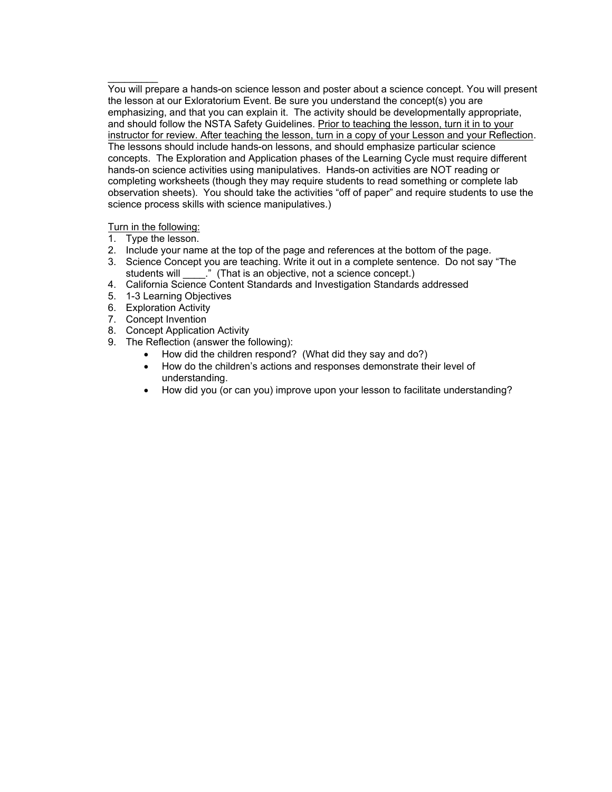You will prepare a hands-on science lesson and poster about a science concept. You will present the lesson at our Exloratorium Event. Be sure you understand the concept(s) you are emphasizing, and that you can explain it. The activity should be developmentally appropriate, and should follow the NSTA Safety Guidelines. Prior to teaching the lesson, turn it in to your instructor for review. After teaching the lesson, turn in a copy of your Lesson and your Reflection. The lessons should include hands-on lessons, and should emphasize particular science concepts. The Exploration and Application phases of the Learning Cycle must require different hands-on science activities using manipulatives. Hands-on activities are NOT reading or completing worksheets (though they may require students to read something or complete lab observation sheets). You should take the activities "off of paper" and require students to use the science process skills with science manipulatives.)

## Turn in the following:

 $\frac{1}{2}$ 

- 1. Type the lesson.
- 2. Include your name at the top of the page and references at the bottom of the page.
- 3. Science Concept you are teaching. Write it out in a complete sentence. Do not say "The students will \_\_\_\_\_." (That is an objective, not a science concept.)
- 4. California Science Content Standards and Investigation Standards addressed
- 5. 1-3 Learning Objectives
- 6. Exploration Activity
- 7. Concept Invention
- 8. Concept Application Activity
- 9. The Reflection (answer the following):
	- How did the children respond? (What did they say and do?)
	- How do the children's actions and responses demonstrate their level of understanding.
	- How did you (or can you) improve upon your lesson to facilitate understanding?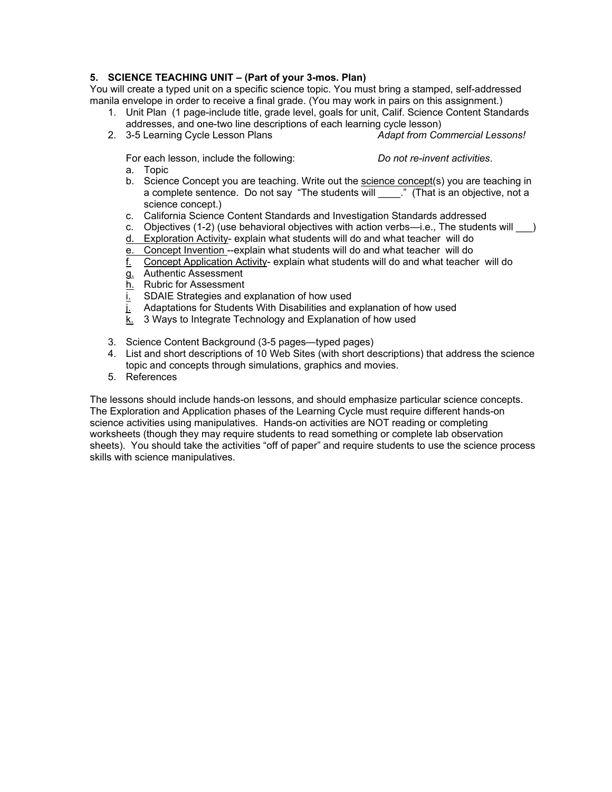## **5. SCIENCE TEACHING UNIT – (Part of your 3-mos. Plan)**

You will create a typed unit on a specific science topic. You must bring a stamped, self-addressed manila envelope in order to receive a final grade. (You may work in pairs on this assignment.)

- 1. Unit Plan (1 page-include title, grade level, goals for unit, Calif. Science Content Standards addresses, and one-two line descriptions of each learning cycle lesson)
- 2. 3-5 Learning Cycle Lesson Plans *Adapt from Commercial Lessons!*

For each lesson, include the following: *Do not re-invent activities*.

- a. Topic
- b. Science Concept you are teaching. Write out the science concept(s) you are teaching in a complete sentence. Do not say "The students will \_\_\_\_." (That is an objective, not a science concept.)
- c. California Science Content Standards and Investigation Standards addressed
- c. Objectives (1-2) (use behavioral objectives with action verbs—i.e., The students will \_\_\_)
- d. Exploration Activity- explain what students will do and what teacher will do
- e. Concept Invention --explain what students will do and what teacher will do
- f. Concept Application Activity- explain what students will do and what teacher will do
- g. Authentic Assessment
- h. Rubric for Assessment
- i. SDAIE Strategies and explanation of how used
- j. Adaptations for Students With Disabilities and explanation of how used
- k. 3 Ways to Integrate Technology and Explanation of how used
- 3. Science Content Background (3-5 pages—typed pages)
- 4. List and short descriptions of 10 Web Sites (with short descriptions) that address the science topic and concepts through simulations, graphics and movies.
- 5. References

The lessons should include hands-on lessons, and should emphasize particular science concepts. The Exploration and Application phases of the Learning Cycle must require different hands-on science activities using manipulatives. Hands-on activities are NOT reading or completing worksheets (though they may require students to read something or complete lab observation sheets). You should take the activities "off of paper" and require students to use the science process skills with science manipulatives.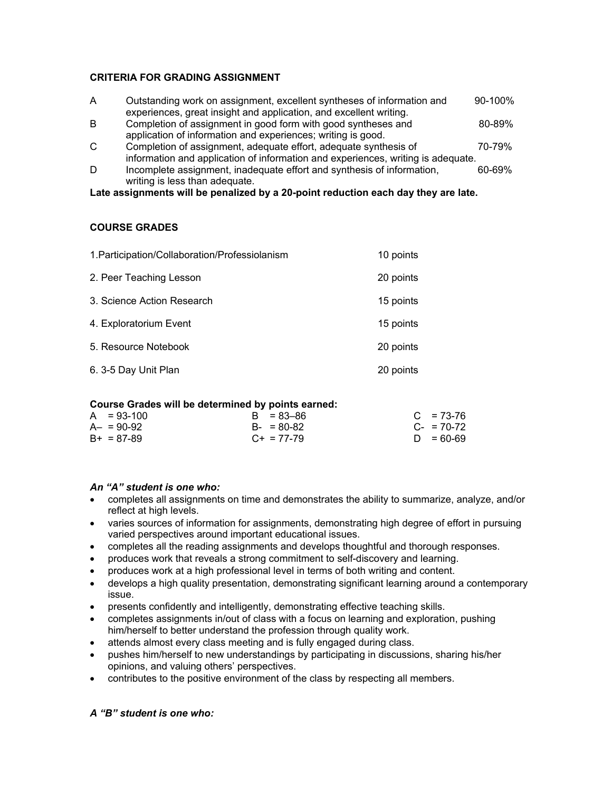## **CRITERIA FOR GRADING ASSIGNMENT**

| A | Outstanding work on assignment, excellent syntheses of information and | 90-100% |
|---|------------------------------------------------------------------------|---------|
|   | experiences, great insight and application, and excellent writing.     |         |
| B | Completion of assignment in good form with good syntheses and          | 80-89%  |
|   | application of information and experiences; writing is good.           |         |
|   |                                                                        |         |

C Completion of assignment, adequate effort, adequate synthesis of  $70-79\%$ information and application of information and experiences, writing is adequate.

D Incomplete assignment, inadequate effort and synthesis of information, 60-69% writing is less than adequate.

#### **Late assignments will be penalized by a 20-point reduction each day they are late.**

#### **COURSE GRADES**

| 1. Participation/Collaboration/Professiolanism | 10 points |
|------------------------------------------------|-----------|
| 2. Peer Teaching Lesson                        | 20 points |
| 3. Science Action Research                     | 15 points |
| 4. Exploratorium Event                         | 15 points |
| 5. Resource Notebook                           | 20 points |
| 6. 3-5 Day Unit Plan                           | 20 points |

#### **Course Grades will be determined by points earned:**

| $A = 93-100$ | $B = 83 - 86$   | $C = 73-76$     |
|--------------|-----------------|-----------------|
| $A - 90-92$  | $B - 80 - 82$   | $C_{-}$ = 70-72 |
| $B+ = 87-89$ | $C_{+}$ = 77-79 | $D = 60-69$     |

#### *An "A" student is one who:*

- completes all assignments on time and demonstrates the ability to summarize, analyze, and/or reflect at high levels.
- varies sources of information for assignments, demonstrating high degree of effort in pursuing varied perspectives around important educational issues.
- completes all the reading assignments and develops thoughtful and thorough responses.
- produces work that reveals a strong commitment to self-discovery and learning.
- produces work at a high professional level in terms of both writing and content.
- develops a high quality presentation, demonstrating significant learning around a contemporary issue.
- presents confidently and intelligently, demonstrating effective teaching skills.
- completes assignments in/out of class with a focus on learning and exploration, pushing him/herself to better understand the profession through quality work.
- attends almost every class meeting and is fully engaged during class.
- pushes him/herself to new understandings by participating in discussions, sharing his/her opinions, and valuing others' perspectives.
- contributes to the positive environment of the class by respecting all members.

#### *A "B" student is one who:*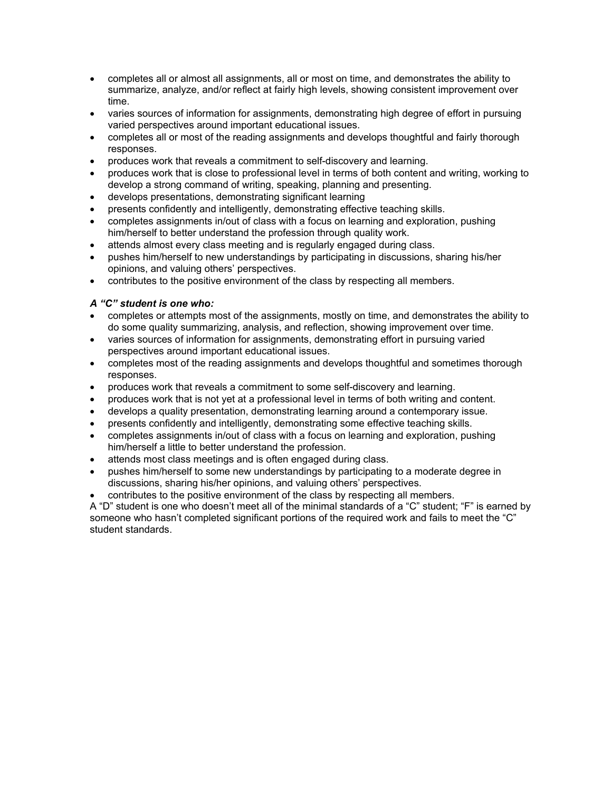- completes all or almost all assignments, all or most on time, and demonstrates the ability to summarize, analyze, and/or reflect at fairly high levels, showing consistent improvement over time.
- varies sources of information for assignments, demonstrating high degree of effort in pursuing varied perspectives around important educational issues.
- completes all or most of the reading assignments and develops thoughtful and fairly thorough responses.
- produces work that reveals a commitment to self-discovery and learning.
- produces work that is close to professional level in terms of both content and writing, working to develop a strong command of writing, speaking, planning and presenting.
- develops presentations, demonstrating significant learning
- presents confidently and intelligently, demonstrating effective teaching skills.
- completes assignments in/out of class with a focus on learning and exploration, pushing him/herself to better understand the profession through quality work.
- attends almost every class meeting and is regularly engaged during class.
- pushes him/herself to new understandings by participating in discussions, sharing his/her opinions, and valuing others' perspectives.
- contributes to the positive environment of the class by respecting all members.

#### *A "C" student is one who:*

- completes or attempts most of the assignments, mostly on time, and demonstrates the ability to do some quality summarizing, analysis, and reflection, showing improvement over time.
- varies sources of information for assignments, demonstrating effort in pursuing varied perspectives around important educational issues.
- completes most of the reading assignments and develops thoughtful and sometimes thorough responses.
- produces work that reveals a commitment to some self-discovery and learning.
- produces work that is not yet at a professional level in terms of both writing and content.
- develops a quality presentation, demonstrating learning around a contemporary issue.
- presents confidently and intelligently, demonstrating some effective teaching skills.
- completes assignments in/out of class with a focus on learning and exploration, pushing him/herself a little to better understand the profession.
- attends most class meetings and is often engaged during class.
- pushes him/herself to some new understandings by participating to a moderate degree in discussions, sharing his/her opinions, and valuing others' perspectives.
- contributes to the positive environment of the class by respecting all members.

A "D" student is one who doesn't meet all of the minimal standards of a "C" student; "F" is earned by someone who hasn't completed significant portions of the required work and fails to meet the "C" student standards.